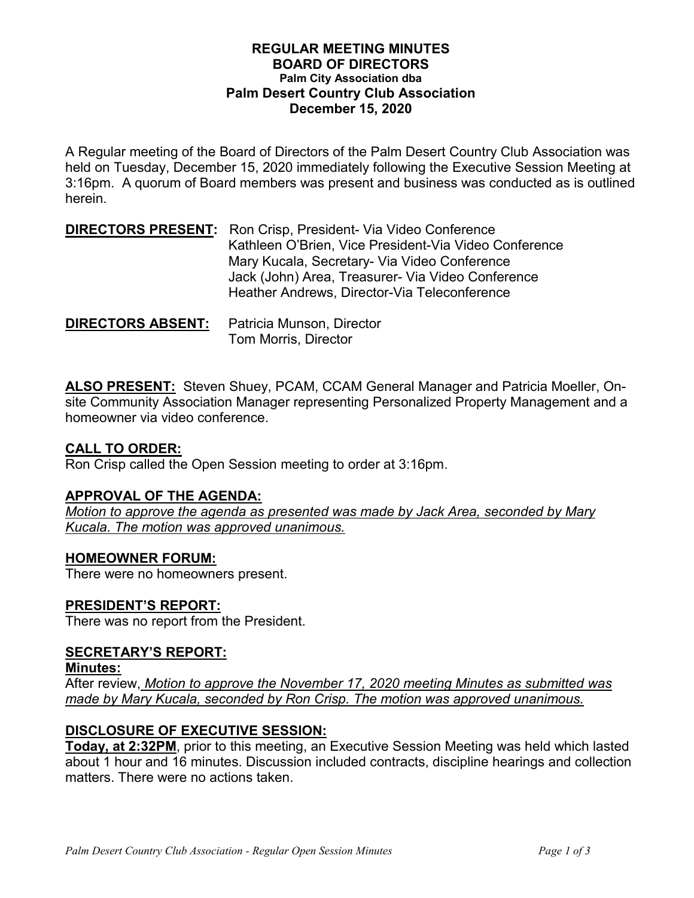#### **REGULAR MEETING MINUTES BOARD OF DIRECTORS Palm City Association dba Palm Desert Country Club Association December 15, 2020**

A Regular meeting of the Board of Directors of the Palm Desert Country Club Association was held on Tuesday, December 15, 2020 immediately following the Executive Session Meeting at 3:16pm. A quorum of Board members was present and business was conducted as is outlined herein.

**DIRECTORS PRESENT:** Ron Crisp, President- Via Video Conference Kathleen O'Brien, Vice President-Via Video Conference Mary Kucala, Secretary- Via Video Conference Jack (John) Area, Treasurer- Via Video Conference Heather Andrews, Director-Via Teleconference

**DIRECTORS ABSENT:** Patricia Munson, Director Tom Morris, Director

**ALSO PRESENT:** Steven Shuey, PCAM, CCAM General Manager and Patricia Moeller, Onsite Community Association Manager representing Personalized Property Management and a homeowner via video conference.

### **CALL TO ORDER:**

Ron Crisp called the Open Session meeting to order at 3:16pm.

### **APPROVAL OF THE AGENDA:**

*Motion to approve the agenda as presented was made by Jack Area, seconded by Mary Kucala. The motion was approved unanimous.*

### **HOMEOWNER FORUM:**

There were no homeowners present.

## **PRESIDENT'S REPORT:**

There was no report from the President.

### **SECRETARY'S REPORT:**

**Minutes:**

After review, *Motion to approve the November 17, 2020 meeting Minutes as submitted was made by Mary Kucala, seconded by Ron Crisp. The motion was approved unanimous.* 

## **DISCLOSURE OF EXECUTIVE SESSION:**

**Today, at 2:32PM**, prior to this meeting, an Executive Session Meeting was held which lasted about 1 hour and 16 minutes. Discussion included contracts, discipline hearings and collection matters. There were no actions taken.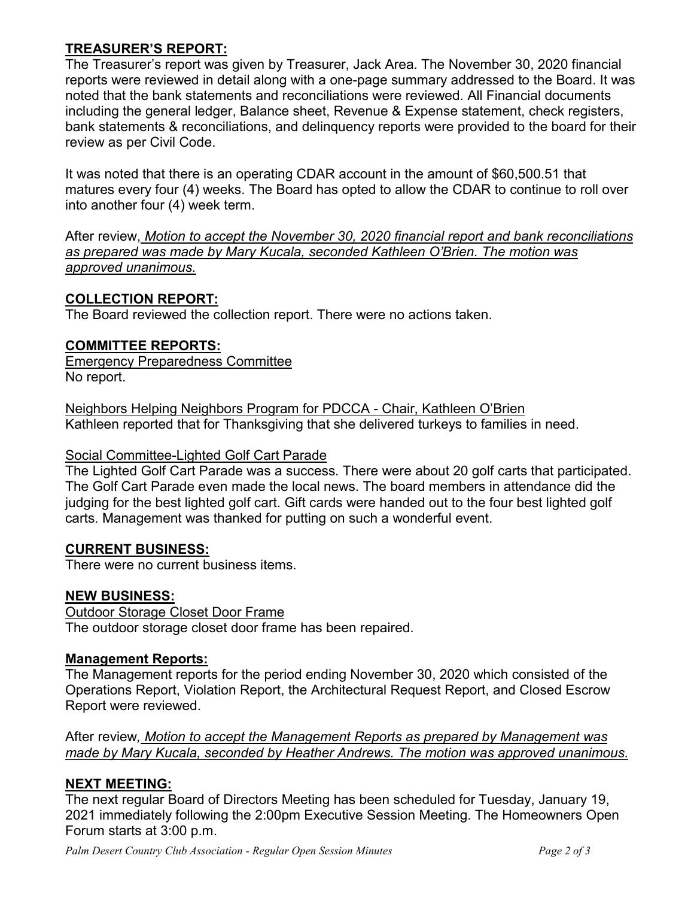## **TREASURER'S REPORT:**

The Treasurer's report was given by Treasurer, Jack Area. The November 30, 2020 financial reports were reviewed in detail along with a one-page summary addressed to the Board. It was noted that the bank statements and reconciliations were reviewed. All Financial documents including the general ledger, Balance sheet, Revenue & Expense statement, check registers, bank statements & reconciliations, and delinquency reports were provided to the board for their review as per Civil Code.

It was noted that there is an operating CDAR account in the amount of \$60,500.51 that matures every four (4) weeks. The Board has opted to allow the CDAR to continue to roll over into another four (4) week term.

After review, *Motion to accept the November 30, 2020 financial report and bank reconciliations as prepared was made by Mary Kucala, seconded Kathleen O'Brien. The motion was approved unanimous.* 

### **COLLECTION REPORT:**

The Board reviewed the collection report. There were no actions taken.

### **COMMITTEE REPORTS:**

Emergency Preparedness Committee No report.

Neighbors Helping Neighbors Program for PDCCA - Chair, Kathleen O'Brien Kathleen reported that for Thanksgiving that she delivered turkeys to families in need.

### Social Committee-Lighted Golf Cart Parade

The Lighted Golf Cart Parade was a success. There were about 20 golf carts that participated. The Golf Cart Parade even made the local news. The board members in attendance did the judging for the best lighted golf cart. Gift cards were handed out to the four best lighted golf carts. Management was thanked for putting on such a wonderful event.

### **CURRENT BUSINESS:**

There were no current business items.

### **NEW BUSINESS:**

Outdoor Storage Closet Door Frame The outdoor storage closet door frame has been repaired.

### **Management Reports:**

The Management reports for the period ending November 30, 2020 which consisted of the Operations Report, Violation Report, the Architectural Request Report, and Closed Escrow Report were reviewed.

After review*, Motion to accept the Management Reports as prepared by Management was made by Mary Kucala, seconded by Heather Andrews. The motion was approved unanimous.*

## **NEXT MEETING:**

The next regular Board of Directors Meeting has been scheduled for Tuesday, January 19, 2021 immediately following the 2:00pm Executive Session Meeting. The Homeowners Open Forum starts at 3:00 p.m.